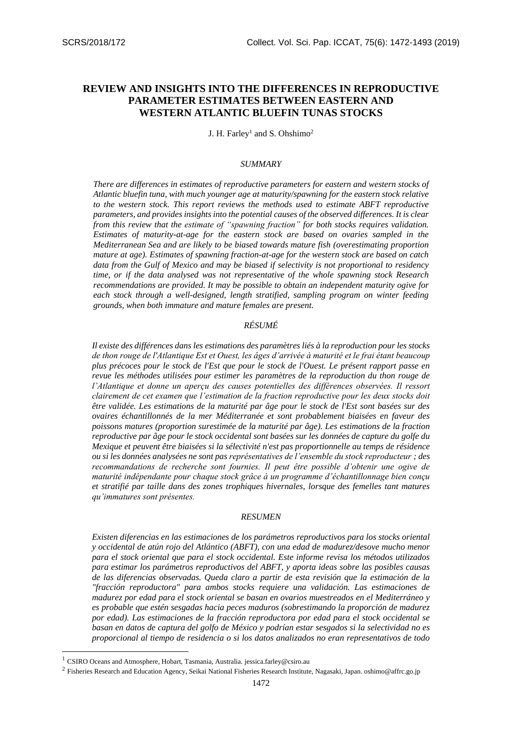# **REVIEW AND INSIGHTS INTO THE DIFFERENCES IN REPRODUCTIVE PARAMETER ESTIMATES BETWEEN EASTERN AND WESTERN ATLANTIC BLUEFIN TUNAS STOCKS**

J. H. Farley<sup>1</sup> and S. Ohshimo<sup>2</sup>

#### *SUMMARY*

*There are differences in estimates of reproductive parameters for eastern and western stocks of Atlantic bluefin tuna, with much younger age at maturity/spawning for the eastern stock relative to the western stock. This report reviews the methods used to estimate ABFT reproductive parameters, and provides insights into the potential causes of the observed differences. It is clear from this review that the estimate of "spawning fraction" for both stocks requires validation. Estimates of maturity-at-age for the eastern stock are based on ovaries sampled in the Mediterranean Sea and are likely to be biased towards mature fish (overestimating proportion mature at age). Estimates of spawning fraction-at-age for the western stock are based on catch data from the Gulf of Mexico and may be biased if selectivity is not proportional to residency time, or if the data analysed was not representative of the whole spawning stock Research recommendations are provided. It may be possible to obtain an independent maturity ogive for each stock through a well-designed, length stratified, sampling program on winter feeding grounds, when both immature and mature females are present.*

#### *RÉSUMÉ*

*Il existe des différences dans les estimations des paramètres liés à la reproduction pour les stocks de thon rouge de l'Atlantique Est et Ouest, les âges d'arrivée à maturité et le frai étant beaucoup plus précoces pour le stock de l'Est que pour le stock de l'Ouest. Le présent rapport passe en revue les méthodes utilisées pour estimer les paramètres de la reproduction du thon rouge de l'Atlantique et donne un aperçu des causes potentielles des différences observées. Il ressort clairement de cet examen que l'estimation de la fraction reproductive pour les deux stocks doit être validée. Les estimations de la maturité par âge pour le stock de l'Est sont basées sur des ovaires échantillonnés de la mer Méditerranée et sont probablement biaisées en faveur des poissons matures (proportion surestimée de la maturité par âge). Les estimations de la fraction reproductive par âge pour le stock occidental sont basées sur les données de capture du golfe du Mexique et peuvent être biaisées si la sélectivité n'est pas proportionnelle au temps de résidence ou si les données analysées ne sont pas représentatives de l'ensemble du stock reproducteur ; des recommandations de recherche sont fournies. Il peut être possible d'obtenir une ogive de maturité indépendante pour chaque stock grâce à un programme d'échantillonnage bien conçu et stratifié par taille dans des zones trophiques hivernales, lorsque des femelles tant matures qu'immatures sont présentes.*

#### *RESUMEN*

*Existen diferencias en las estimaciones de los parámetros reproductivos para los stocks oriental y occidental de atún rojo del Atlántico (ABFT), con una edad de madurez/desove mucho menor para el stock oriental que para el stock occidental. Este informe revisa los métodos utilizados para estimar los parámetros reproductivos del ABFT, y aporta ideas sobre las posibles causas de las diferencias observadas. Queda claro a partir de esta revisión que la estimación de la "fracción reproductora" para ambos stocks requiere una validación. Las estimaciones de madurez por edad para el stock oriental se basan en ovarios muestreados en el Mediterráneo y es probable que estén sesgadas hacia peces maduros (sobrestimando la proporción de madurez por edad). Las estimaciones de la fracción reproductora por edad para el stock occidental se basan en datos de captura del golfo de México y podrían estar sesgados si la selectividad no es proporcional al tiempo de residencia o si los datos analizados no eran representativos de todo* 

-

<sup>1</sup> CSIRO Oceans and Atmosphere, Hobart, Tasmania, Australia. jessica.farley@csiro.au

<sup>&</sup>lt;sup>2</sup> Fisheries Research and Education Agency, Seikai National Fisheries Research Institute, Nagasaki, Japan. oshimo@affrc.go.jp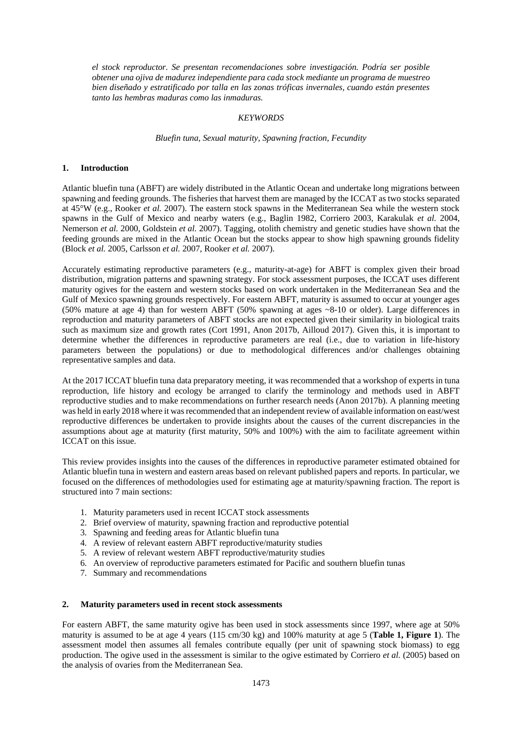*el stock reproductor. Se presentan recomendaciones sobre investigación. Podría ser posible obtener una ojiva de madurez independiente para cada stock mediante un programa de muestreo bien diseñado y estratificado por talla en las zonas tróficas invernales, cuando están presentes tanto las hembras maduras como las inmaduras.*

#### *KEYWORDS*

#### *Bluefin tuna, Sexual maturity, Spawning fraction, Fecundity*

#### **1. Introduction**

Atlantic bluefin tuna (ABFT) are widely distributed in the Atlantic Ocean and undertake long migrations between spawning and feeding grounds. The fisheries that harvest them are managed by the ICCAT as two stocks separated at 45°W (e.g., Rooker *et al.* 2007). The eastern stock spawns in the Mediterranean Sea while the western stock spawns in the Gulf of Mexico and nearby waters (e.g., Baglin 1982, Corriero 2003, Karakulak *et al.* 2004, Nemerson *et al.* 2000, Goldstein *et al.* 2007). Tagging, otolith chemistry and genetic studies have shown that the feeding grounds are mixed in the Atlantic Ocean but the stocks appear to show high spawning grounds fidelity (Block *et al.* 2005, Carlsson *et al.* 2007, Rooker *et al.* 2007).

Accurately estimating reproductive parameters (e.g., maturity-at-age) for ABFT is complex given their broad distribution, migration patterns and spawning strategy. For stock assessment purposes, the ICCAT uses different maturity ogives for the eastern and western stocks based on work undertaken in the Mediterranean Sea and the Gulf of Mexico spawning grounds respectively. For eastern ABFT, maturity is assumed to occur at younger ages (50% mature at age 4) than for western ABFT (50% spawning at ages ~8-10 or older). Large differences in reproduction and maturity parameters of ABFT stocks are not expected given their similarity in biological traits such as maximum size and growth rates (Cort 1991, Anon 2017b, Ailloud 2017). Given this, it is important to determine whether the differences in reproductive parameters are real (i.e., due to variation in life-history parameters between the populations) or due to methodological differences and/or challenges obtaining representative samples and data.

At the 2017 ICCAT bluefin tuna data preparatory meeting, it was recommended that a workshop of experts in tuna reproduction, life history and ecology be arranged to clarify the terminology and methods used in ABFT reproductive studies and to make recommendations on further research needs (Anon 2017b). A planning meeting was held in early 2018 where it was recommended that an independent review of available information on east/west reproductive differences be undertaken to provide insights about the causes of the current discrepancies in the assumptions about age at maturity (first maturity, 50% and 100%) with the aim to facilitate agreement within ICCAT on this issue.

This review provides insights into the causes of the differences in reproductive parameter estimated obtained for Atlantic bluefin tuna in western and eastern areas based on relevant published papers and reports. In particular, we focused on the differences of methodologies used for estimating age at maturity/spawning fraction. The report is structured into 7 main sections:

- 1. Maturity parameters used in recent ICCAT stock assessments
- 2. Brief overview of maturity, spawning fraction and reproductive potential
- 3. Spawning and feeding areas for Atlantic bluefin tuna
- 4. A review of relevant eastern ABFT reproductive/maturity studies
- 5. A review of relevant western ABFT reproductive/maturity studies
- 6. An overview of reproductive parameters estimated for Pacific and southern bluefin tunas
- 7. Summary and recommendations

#### **2. Maturity parameters used in recent stock assessments**

For eastern ABFT, the same maturity ogive has been used in stock assessments since 1997, where age at 50% maturity is assumed to be at age 4 years (115 cm/30 kg) and 100% maturity at age 5 (**Table 1, Figure 1**). The assessment model then assumes all females contribute equally (per unit of spawning stock biomass) to egg production. The ogive used in the assessment is similar to the ogive estimated by Corriero *et al.* (2005) based on the analysis of ovaries from the Mediterranean Sea.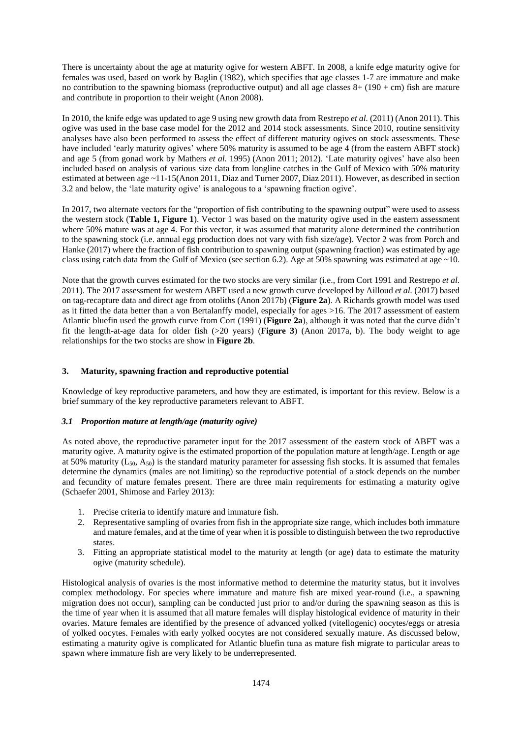There is uncertainty about the age at maturity ogive for western ABFT. In 2008, a knife edge maturity ogive for females was used, based on work by Baglin (1982), which specifies that age classes 1-7 are immature and make no contribution to the spawning biomass (reproductive output) and all age classes  $8+(190+cm)$  fish are mature and contribute in proportion to their weight (Anon 2008).

In 2010, the knife edge was updated to age 9 using new growth data from Restrepo *et al.* (2011) (Anon 2011). This ogive was used in the base case model for the 2012 and 2014 stock assessments. Since 2010, routine sensitivity analyses have also been performed to assess the effect of different maturity ogives on stock assessments. These have included 'early maturity ogives' where 50% maturity is assumed to be age 4 (from the eastern ABFT stock) and age 5 (from gonad work by Mathers *et al.* 1995) (Anon 2011; 2012). 'Late maturity ogives' have also been included based on analysis of various size data from longline catches in the Gulf of Mexico with 50% maturity estimated at between age ~11-15(Anon 2011, Diaz and Turner 2007, Diaz 2011). However, as described in section 3.2 and below, the 'late maturity ogive' is analogous to a 'spawning fraction ogive'.

In 2017, two alternate vectors for the "proportion of fish contributing to the spawning output" were used to assess the western stock (**Table 1, Figure 1**). Vector 1 was based on the maturity ogive used in the eastern assessment where 50% mature was at age 4. For this vector, it was assumed that maturity alone determined the contribution to the spawning stock (i.e. annual egg production does not vary with fish size/age). Vector 2 was from Porch and Hanke (2017) where the fraction of fish contribution to spawning output (spawning fraction) was estimated by age class using catch data from the Gulf of Mexico (see section 6.2). Age at 50% spawning was estimated at age  $\sim$ 10.

Note that the growth curves estimated for the two stocks are very similar (i.e., from Cort 1991 and Restrepo *et al.* 2011). The 2017 assessment for western ABFT used a new growth curve developed by Ailloud *et al.* (2017) based on tag-recapture data and direct age from otoliths (Anon 2017b) (**Figure 2a**). A Richards growth model was used as it fitted the data better than a von Bertalanffy model, especially for ages >16. The 2017 assessment of eastern Atlantic bluefin used the growth curve from Cort (1991) (**Figure 2a**), although it was noted that the curve didn't fit the length-at-age data for older fish (>20 years) (**Figure 3**) (Anon 2017a, b). The body weight to age relationships for the two stocks are show in **Figure 2b**.

## **3. Maturity, spawning fraction and reproductive potential**

Knowledge of key reproductive parameters, and how they are estimated, is important for this review. Below is a brief summary of the key reproductive parameters relevant to ABFT.

## *3.1 Proportion mature at length/age (maturity ogive)*

As noted above, the reproductive parameter input for the 2017 assessment of the eastern stock of ABFT was a maturity ogive. A maturity ogive is the estimated proportion of the population mature at length/age. Length or age at 50% maturity  $(L_{50}, A_{50})$  is the standard maturity parameter for assessing fish stocks. It is assumed that females determine the dynamics (males are not limiting) so the reproductive potential of a stock depends on the number and fecundity of mature females present. There are three main requirements for estimating a maturity ogive (Schaefer 2001, Shimose and Farley 2013):

- 1. Precise criteria to identify mature and immature fish.
- 2. Representative sampling of ovaries from fish in the appropriate size range, which includes both immature and mature females, and at the time of year when it is possible to distinguish between the two reproductive states.
- 3. Fitting an appropriate statistical model to the maturity at length (or age) data to estimate the maturity ogive (maturity schedule).

Histological analysis of ovaries is the most informative method to determine the maturity status, but it involves complex methodology. For species where immature and mature fish are mixed year-round (i.e., a spawning migration does not occur), sampling can be conducted just prior to and/or during the spawning season as this is the time of year when it is assumed that all mature females will display histological evidence of maturity in their ovaries. Mature females are identified by the presence of advanced yolked (vitellogenic) oocytes/eggs or atresia of yolked oocytes. Females with early yolked oocytes are not considered sexually mature. As discussed below, estimating a maturity ogive is complicated for Atlantic bluefin tuna as mature fish migrate to particular areas to spawn where immature fish are very likely to be underrepresented.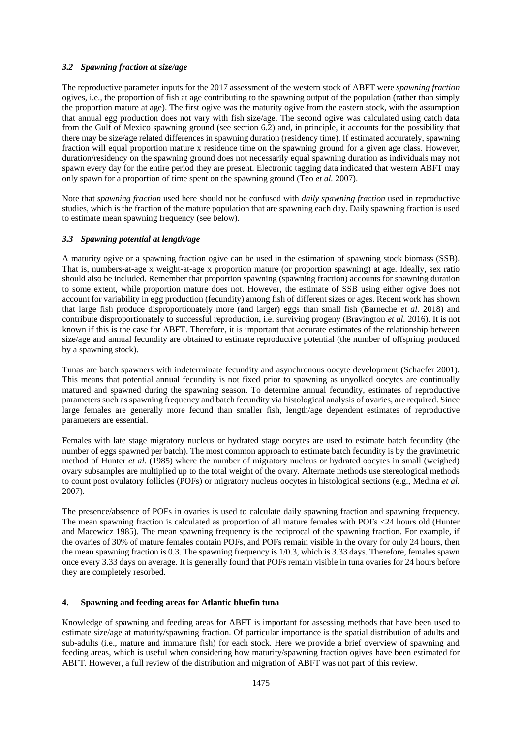## *3.2 Spawning fraction at size/age*

The reproductive parameter inputs for the 2017 assessment of the western stock of ABFT were *spawning fraction*  ogives, i.e., the proportion of fish at age contributing to the spawning output of the population (rather than simply the proportion mature at age). The first ogive was the maturity ogive from the eastern stock, with the assumption that annual egg production does not vary with fish size/age. The second ogive was calculated using catch data from the Gulf of Mexico spawning ground (see section 6.2) and, in principle, it accounts for the possibility that there may be size/age related differences in spawning duration (residency time). If estimated accurately, spawning fraction will equal proportion mature x residence time on the spawning ground for a given age class. However, duration/residency on the spawning ground does not necessarily equal spawning duration as individuals may not spawn every day for the entire period they are present. Electronic tagging data indicated that western ABFT may only spawn for a proportion of time spent on the spawning ground (Teo *et al.* 2007).

Note that *spawning fraction* used here should not be confused with *daily spawning fraction* used in reproductive studies, which is the fraction of the mature population that are spawning each day. Daily spawning fraction is used to estimate mean spawning frequency (see below).

## *3.3 Spawning potential at length/age*

A maturity ogive or a spawning fraction ogive can be used in the estimation of spawning stock biomass (SSB). That is, numbers-at-age x weight-at-age x proportion mature (or proportion spawning) at age. Ideally, sex ratio should also be included. Remember that proportion spawning (spawning fraction) accounts for spawning duration to some extent, while proportion mature does not. However, the estimate of SSB using either ogive does not account for variability in egg production (fecundity) among fish of different sizes or ages. Recent work has shown that large fish produce disproportionately more (and larger) eggs than small fish (Barneche *et al.* 2018) and contribute disproportionately to successful reproduction, i.e. surviving progeny (Bravington *et al.* 2016). It is not known if this is the case for ABFT. Therefore, it is important that accurate estimates of the relationship between size/age and annual fecundity are obtained to estimate reproductive potential (the number of offspring produced by a spawning stock).

Tunas are batch spawners with indeterminate fecundity and asynchronous oocyte development (Schaefer 2001). This means that potential annual fecundity is not fixed prior to spawning as unyolked oocytes are continually matured and spawned during the spawning season. To determine annual fecundity, estimates of reproductive parameters such as spawning frequency and batch fecundity via histological analysis of ovaries, are required. Since large females are generally more fecund than smaller fish, length/age dependent estimates of reproductive parameters are essential.

Females with late stage migratory nucleus or hydrated stage oocytes are used to estimate batch fecundity (the number of eggs spawned per batch). The most common approach to estimate batch fecundity is by the gravimetric method of Hunter *et al.* (1985) where the number of migratory nucleus or hydrated oocytes in small (weighed) ovary subsamples are multiplied up to the total weight of the ovary. Alternate methods use stereological methods to count post ovulatory follicles (POFs) or migratory nucleus oocytes in histological sections (e.g., Medina *et al.* 2007).

The presence/absence of POFs in ovaries is used to calculate daily spawning fraction and spawning frequency. The mean spawning fraction is calculated as proportion of all mature females with POFs <24 hours old (Hunter and Macewicz 1985). The mean spawning frequency is the reciprocal of the spawning fraction. For example, if the ovaries of 30% of mature females contain POFs, and POFs remain visible in the ovary for only 24 hours, then the mean spawning fraction is 0.3. The spawning frequency is 1/0.3, which is 3.33 days. Therefore, females spawn once every 3.33 days on average. It is generally found that POFs remain visible in tuna ovaries for 24 hours before they are completely resorbed.

## **4. Spawning and feeding areas for Atlantic bluefin tuna**

Knowledge of spawning and feeding areas for ABFT is important for assessing methods that have been used to estimate size/age at maturity/spawning fraction. Of particular importance is the spatial distribution of adults and sub-adults (i.e., mature and immature fish) for each stock. Here we provide a brief overview of spawning and feeding areas, which is useful when considering how maturity/spawning fraction ogives have been estimated for ABFT. However, a full review of the distribution and migration of ABFT was not part of this review.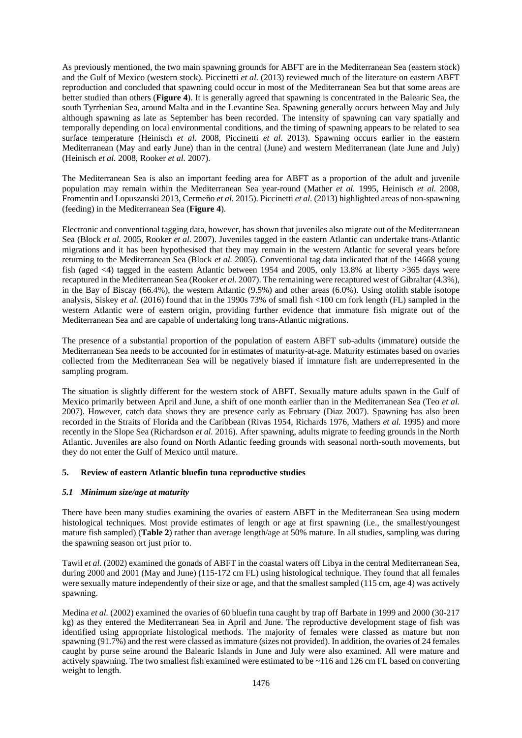As previously mentioned, the two main spawning grounds for ABFT are in the Mediterranean Sea (eastern stock) and the Gulf of Mexico (western stock). Piccinetti *et al.* (2013) reviewed much of the literature on eastern ABFT reproduction and concluded that spawning could occur in most of the Mediterranean Sea but that some areas are better studied than others (**Figure 4**). It is generally agreed that spawning is concentrated in the Balearic Sea, the south Tyrrhenian Sea, around Malta and in the Levantine Sea. Spawning generally occurs between May and July although spawning as late as September has been recorded. The intensity of spawning can vary spatially and temporally depending on local environmental conditions, and the timing of spawning appears to be related to sea surface temperature (Heinisch *et al.* 2008, Piccinetti *et al.* 2013). Spawning occurs earlier in the eastern Mediterranean (May and early June) than in the central (June) and western Mediterranean (late June and July) (Heinisch *et al.* 2008, Rooker *et al.* 2007).

The Mediterranean Sea is also an important feeding area for ABFT as a proportion of the adult and juvenile population may remain within the Mediterranean Sea year-round (Mather *et al.* 1995, Heinisch *et al.* 2008, Fromentin and Lopuszanski 2013, Cermeño *et al.* 2015). Piccinetti *et al.* (2013) highlighted areas of non-spawning (feeding) in the Mediterranean Sea (**Figure 4**).

Electronic and conventional tagging data, however, has shown that juveniles also migrate out of the Mediterranean Sea (Block *et al.* 2005, Rooker *et al.* 2007). Juveniles tagged in the eastern Atlantic can undertake trans-Atlantic migrations and it has been hypothesised that they may remain in the western Atlantic for several years before returning to the Mediterranean Sea (Block *et al.* 2005). Conventional tag data indicated that of the 14668 young fish (aged <4) tagged in the eastern Atlantic between 1954 and 2005, only 13.8% at liberty >365 days were recaptured in the Mediterranean Sea (Rooker *et al.* 2007). The remaining were recaptured west of Gibraltar (4.3%), in the Bay of Biscay (66.4%), the western Atlantic (9.5%) and other areas (6.0%). Using otolith stable isotope analysis, Siskey *et al.* (2016) found that in the 1990s 73% of small fish <100 cm fork length (FL) sampled in the western Atlantic were of eastern origin, providing further evidence that immature fish migrate out of the Mediterranean Sea and are capable of undertaking long trans-Atlantic migrations.

The presence of a substantial proportion of the population of eastern ABFT sub-adults (immature) outside the Mediterranean Sea needs to be accounted for in estimates of maturity-at-age. Maturity estimates based on ovaries collected from the Mediterranean Sea will be negatively biased if immature fish are underrepresented in the sampling program.

The situation is slightly different for the western stock of ABFT. Sexually mature adults spawn in the Gulf of Mexico primarily between April and June, a shift of one month earlier than in the Mediterranean Sea (Teo *et al.* 2007). However, catch data shows they are presence early as February (Diaz 2007). Spawning has also been recorded in the Straits of Florida and the Caribbean (Rivas 1954, Richards 1976, Mathers *et al.* 1995) and more recently in the Slope Sea (Richardson *et al.* 2016). After spawning, adults migrate to feeding grounds in the North Atlantic. Juveniles are also found on North Atlantic feeding grounds with seasonal north-south movements, but they do not enter the Gulf of Mexico until mature.

## **5. Review of eastern Atlantic bluefin tuna reproductive studies**

## *5.1 Minimum size/age at maturity*

There have been many studies examining the ovaries of eastern ABFT in the Mediterranean Sea using modern histological techniques. Most provide estimates of length or age at first spawning (i.e., the smallest/youngest mature fish sampled) (**Table 2**) rather than average length/age at 50% mature. In all studies, sampling was during the spawning season ort just prior to.

Tawil *et al.* (2002) examined the gonads of ABFT in the coastal waters off Libya in the central Mediterranean Sea, during 2000 and 2001 (May and June) (115-172 cm FL) using histological technique. They found that all females were sexually mature independently of their size or age, and that the smallest sampled (115 cm, age 4) was actively spawning.

Medina *et al.* (2002) examined the ovaries of 60 bluefin tuna caught by trap off Barbate in 1999 and 2000 (30-217 kg) as they entered the Mediterranean Sea in April and June. The reproductive development stage of fish was identified using appropriate histological methods. The majority of females were classed as mature but non spawning (91.7%) and the rest were classed as immature (sizes not provided). In addition, the ovaries of 24 females caught by purse seine around the Balearic Islands in June and July were also examined. All were mature and actively spawning. The two smallest fish examined were estimated to be ~116 and 126 cm FL based on converting weight to length.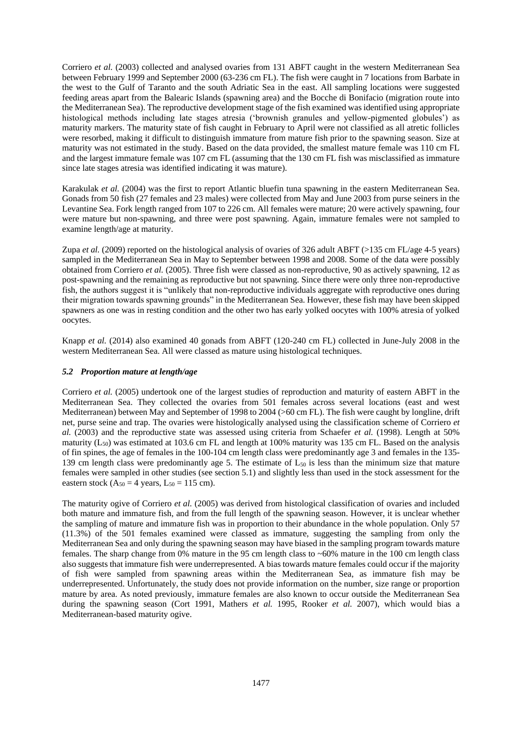Corriero *et al.* (2003) collected and analysed ovaries from 131 ABFT caught in the western Mediterranean Sea between February 1999 and September 2000 (63-236 cm FL). The fish were caught in 7 locations from Barbate in the west to the Gulf of Taranto and the south Adriatic Sea in the east. All sampling locations were suggested feeding areas apart from the Balearic Islands (spawning area) and the Bocche di Bonifacio (migration route into the Mediterranean Sea). The reproductive development stage of the fish examined was identified using appropriate histological methods including late stages atresia ('brownish granules and yellow-pigmented globules') as maturity markers. The maturity state of fish caught in February to April were not classified as all atretic follicles were resorbed, making it difficult to distinguish immature from mature fish prior to the spawning season. Size at maturity was not estimated in the study. Based on the data provided, the smallest mature female was 110 cm FL and the largest immature female was 107 cm FL (assuming that the 130 cm FL fish was misclassified as immature since late stages atresia was identified indicating it was mature).

Karakulak *et al.* (2004) was the first to report Atlantic bluefin tuna spawning in the eastern Mediterranean Sea. Gonads from 50 fish (27 females and 23 males) were collected from May and June 2003 from purse seiners in the Levantine Sea. Fork length ranged from 107 to 226 cm. All females were mature; 20 were actively spawning, four were mature but non-spawning, and three were post spawning. Again, immature females were not sampled to examine length/age at maturity.

Zupa *et al.* (2009) reported on the histological analysis of ovaries of 326 adult ABFT (>135 cm FL/age 4-5 years) sampled in the Mediterranean Sea in May to September between 1998 and 2008. Some of the data were possibly obtained from Corriero *et al.* (2005). Three fish were classed as non-reproductive, 90 as actively spawning, 12 as post-spawning and the remaining as reproductive but not spawning. Since there were only three non-reproductive fish, the authors suggest it is "unlikely that non-reproductive individuals aggregate with reproductive ones during their migration towards spawning grounds" in the Mediterranean Sea. However, these fish may have been skipped spawners as one was in resting condition and the other two has early yolked oocytes with 100% atresia of yolked oocytes.

Knapp *et al.* (2014) also examined 40 gonads from ABFT (120-240 cm FL) collected in June-July 2008 in the western Mediterranean Sea. All were classed as mature using histological techniques.

## *5.2 Proportion mature at length/age*

Corriero *et al.* (2005) undertook one of the largest studies of reproduction and maturity of eastern ABFT in the Mediterranean Sea. They collected the ovaries from 501 females across several locations (east and west Mediterranean) between May and September of 1998 to 2004 (>60 cm FL). The fish were caught by longline, drift net, purse seine and trap. The ovaries were histologically analysed using the classification scheme of Corriero *et al.* (2003) and the reproductive state was assessed using criteria from Schaefer *et al.* (1998). Length at 50% maturity  $(L_{50})$  was estimated at 103.6 cm FL and length at 100% maturity was 135 cm FL. Based on the analysis of fin spines, the age of females in the 100-104 cm length class were predominantly age 3 and females in the 135- 139 cm length class were predominantly age 5. The estimate of  $L_{50}$  is less than the minimum size that mature females were sampled in other studies (see section 5.1) and slightly less than used in the stock assessment for the eastern stock ( $A_{50} = 4$  years,  $L_{50} = 115$  cm).

The maturity ogive of Corriero *et al.* (2005) was derived from histological classification of ovaries and included both mature and immature fish, and from the full length of the spawning season. However, it is unclear whether the sampling of mature and immature fish was in proportion to their abundance in the whole population. Only 57 (11.3%) of the 501 females examined were classed as immature, suggesting the sampling from only the Mediterranean Sea and only during the spawning season may have biased in the sampling program towards mature females. The sharp change from 0% mature in the 95 cm length class to ~60% mature in the 100 cm length class also suggests that immature fish were underrepresented. A bias towards mature females could occur if the majority of fish were sampled from spawning areas within the Mediterranean Sea, as immature fish may be underrepresented. Unfortunately, the study does not provide information on the number, size range or proportion mature by area. As noted previously, immature females are also known to occur outside the Mediterranean Sea during the spawning season (Cort 1991, Mathers *et al.* 1995, Rooker *et al.* 2007), which would bias a Mediterranean-based maturity ogive.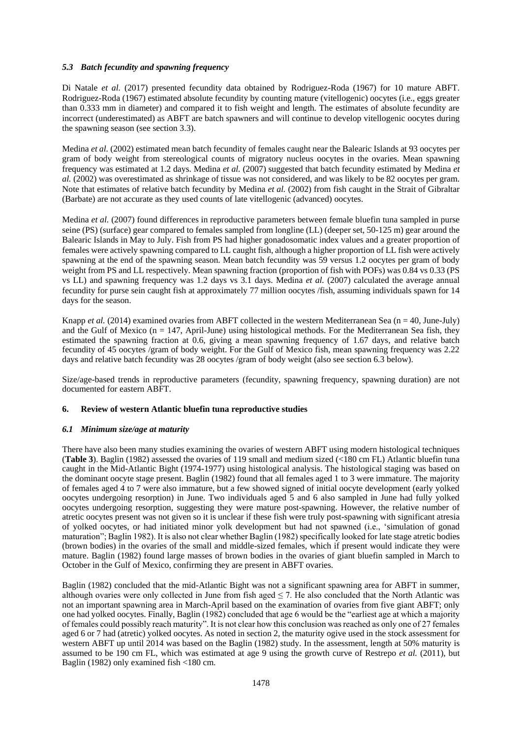## *5.3 Batch fecundity and spawning frequency*

Di Natale *et al.* (2017) presented fecundity data obtained by Rodriguez-Roda (1967) for 10 mature ABFT. Rodriguez-Roda (1967) estimated absolute fecundity by counting mature (vitellogenic) oocytes (i.e., eggs greater than 0.333 mm in diameter) and compared it to fish weight and length. The estimates of absolute fecundity are incorrect (underestimated) as ABFT are batch spawners and will continue to develop vitellogenic oocytes during the spawning season (see section 3.3).

Medina *et al.* (2002) estimated mean batch fecundity of females caught near the Balearic Islands at 93 oocytes per gram of body weight from stereological counts of migratory nucleus oocytes in the ovaries. Mean spawning frequency was estimated at 1.2 days. Medina *et al.* (2007) suggested that batch fecundity estimated by Medina *et al.* (2002) was overestimated as shrinkage of tissue was not considered, and was likely to be 82 oocytes per gram. Note that estimates of relative batch fecundity by Medina *et al.* (2002) from fish caught in the Strait of Gibraltar (Barbate) are not accurate as they used counts of late vitellogenic (advanced) oocytes.

Medina *et al.* (2007) found differences in reproductive parameters between female bluefin tuna sampled in purse seine (PS) (surface) gear compared to females sampled from longline (LL) (deeper set, 50-125 m) gear around the Balearic Islands in May to July. Fish from PS had higher gonadosomatic index values and a greater proportion of females were actively spawning compared to LL caught fish, although a higher proportion of LL fish were actively spawning at the end of the spawning season. Mean batch fecundity was 59 versus 1.2 oocytes per gram of body weight from PS and LL respectively. Mean spawning fraction (proportion of fish with POFs) was 0.84 vs 0.33 (PS vs LL) and spawning frequency was 1.2 days vs 3.1 days. Medina *et al.* (2007) calculated the average annual fecundity for purse sein caught fish at approximately 77 million oocytes /fish, assuming individuals spawn for 14 days for the season.

Knapp *et al.* (2014) examined ovaries from ABFT collected in the western Mediterranean Sea (n = 40, June-July) and the Gulf of Mexico ( $n = 147$ , April-June) using histological methods. For the Mediterranean Sea fish, they estimated the spawning fraction at 0.6, giving a mean spawning frequency of 1.67 days, and relative batch fecundity of 45 oocytes /gram of body weight. For the Gulf of Mexico fish, mean spawning frequency was 2.22 days and relative batch fecundity was 28 oocytes /gram of body weight (also see section 6.3 below).

Size/age-based trends in reproductive parameters (fecundity, spawning frequency, spawning duration) are not documented for eastern ABFT.

#### **6. Review of western Atlantic bluefin tuna reproductive studies**

#### *6.1 Minimum size/age at maturity*

There have also been many studies examining the ovaries of western ABFT using modern histological techniques (**Table 3**). Baglin (1982) assessed the ovaries of 119 small and medium sized (<180 cm FL) Atlantic bluefin tuna caught in the Mid-Atlantic Bight (1974-1977) using histological analysis. The histological staging was based on the dominant oocyte stage present. Baglin (1982) found that all females aged 1 to 3 were immature. The majority of females aged 4 to 7 were also immature, but a few showed signed of initial oocyte development (early yolked oocytes undergoing resorption) in June. Two individuals aged 5 and 6 also sampled in June had fully yolked oocytes undergoing resorption, suggesting they were mature post-spawning. However, the relative number of atretic oocytes present was not given so it is unclear if these fish were truly post-spawning with significant atresia of yolked oocytes, or had initiated minor yolk development but had not spawned (i.e., 'simulation of gonad maturation"; Baglin 1982). It is also not clear whether Baglin (1982) specifically looked for late stage atretic bodies (brown bodies) in the ovaries of the small and middle-sized females, which if present would indicate they were mature. Baglin (1982) found large masses of brown bodies in the ovaries of giant bluefin sampled in March to October in the Gulf of Mexico, confirming they are present in ABFT ovaries.

Baglin (1982) concluded that the mid-Atlantic Bight was not a significant spawning area for ABFT in summer, although ovaries were only collected in June from fish aged  $\leq$  7. He also concluded that the North Atlantic was not an important spawning area in March-April based on the examination of ovaries from five giant ABFT; only one had yolked oocytes. Finally, Baglin (1982) concluded that age 6 would be the "earliest age at which a majority of females could possibly reach maturity". It is not clear how this conclusion was reached as only one of 27 females aged 6 or 7 had (atretic) yolked oocytes. As noted in section 2, the maturity ogive used in the stock assessment for western ABFT up until 2014 was based on the Baglin (1982) study. In the assessment, length at 50% maturity is assumed to be 190 cm FL, which was estimated at age 9 using the growth curve of Restrepo *et al.* (2011), but Baglin (1982) only examined fish <180 cm.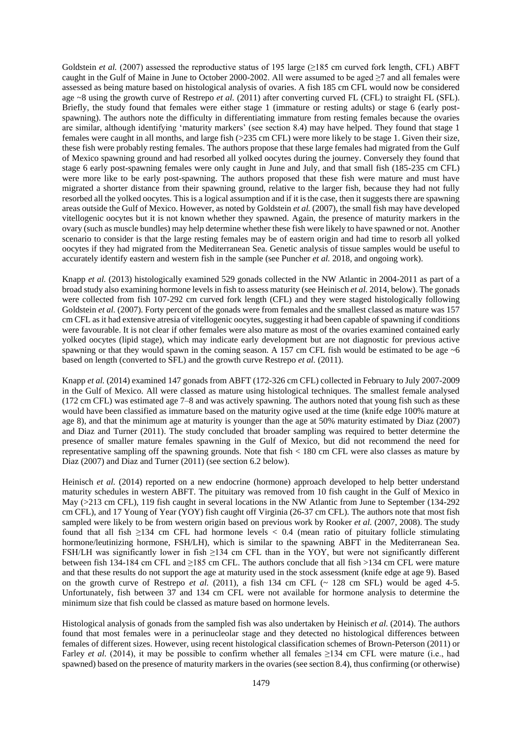Goldstein *et al.* (2007) assessed the reproductive status of 195 large (≥185 cm curved fork length, CFL) ABFT caught in the Gulf of Maine in June to October 2000-2002. All were assumed to be aged ≥7 and all females were assessed as being mature based on histological analysis of ovaries. A fish 185 cm CFL would now be considered age ~8 using the growth curve of Restrepo *et al.* (2011) after converting curved FL (CFL) to straight FL (SFL). Briefly, the study found that females were either stage 1 (immature or resting adults) or stage 6 (early postspawning). The authors note the difficulty in differentiating immature from resting females because the ovaries are similar, although identifying 'maturity markers' (see section 8.4) may have helped. They found that stage 1 females were caught in all months, and large fish (>235 cm CFL) were more likely to be stage 1. Given their size, these fish were probably resting females. The authors propose that these large females had migrated from the Gulf of Mexico spawning ground and had resorbed all yolked oocytes during the journey. Conversely they found that stage 6 early post-spawning females were only caught in June and July, and that small fish (185-235 cm CFL) were more like to be early post-spawning. The authors proposed that these fish were mature and must have migrated a shorter distance from their spawning ground, relative to the larger fish, because they had not fully resorbed all the yolked oocytes. This is a logical assumption and if it is the case, then it suggests there are spawning areas outside the Gulf of Mexico. However, as noted by Goldstein *et al.* (2007), the small fish may have developed vitellogenic oocytes but it is not known whether they spawned. Again, the presence of maturity markers in the ovary (such as muscle bundles) may help determine whether these fish were likely to have spawned or not. Another scenario to consider is that the large resting females may be of eastern origin and had time to resorb all yolked oocytes if they had migrated from the Mediterranean Sea. Genetic analysis of tissue samples would be useful to accurately identify eastern and western fish in the sample (see Puncher *et al.* 2018, and ongoing work).

Knapp *et al.* (2013) histologically examined 529 gonads collected in the NW Atlantic in 2004-2011 as part of a broad study also examining hormone levels in fish to assess maturity (see Heinisch *et al.* 2014, below). The gonads were collected from fish 107-292 cm curved fork length (CFL) and they were staged histologically following Goldstein *et al.* (2007). Forty percent of the gonads were from females and the smallest classed as mature was 157 cm CFL as it had extensive atresia of vitellogenic oocytes, suggesting it had been capable of spawning if conditions were favourable. It is not clear if other females were also mature as most of the ovaries examined contained early yolked oocytes (lipid stage), which may indicate early development but are not diagnostic for previous active spawning or that they would spawn in the coming season. A 157 cm CFL fish would be estimated to be age ~6 based on length (converted to SFL) and the growth curve Restrepo *et al.* (2011).

Knapp *et al.* (2014) examined 147 gonads from ABFT (172-326 cm CFL) collected in February to July 2007-2009 in the Gulf of Mexico. All were classed as mature using histological techniques. The smallest female analysed (172 cm CFL) was estimated age 7–8 and was actively spawning. The authors noted that young fish such as these would have been classified as immature based on the maturity ogive used at the time (knife edge 100% mature at age 8), and that the minimum age at maturity is younger than the age at 50% maturity estimated by Diaz (2007) and Diaz and Turner (2011). The study concluded that broader sampling was required to better determine the presence of smaller mature females spawning in the Gulf of Mexico, but did not recommend the need for representative sampling off the spawning grounds. Note that fish < 180 cm CFL were also classes as mature by Diaz (2007) and Diaz and Turner (2011) (see section 6.2 below).

Heinisch *et al.* (2014) reported on a new endocrine (hormone) approach developed to help better understand maturity schedules in western ABFT. The pituitary was removed from 10 fish caught in the Gulf of Mexico in May (>213 cm CFL), 119 fish caught in several locations in the NW Atlantic from June to September (134-292 cm CFL), and 17 Young of Year (YOY) fish caught off Virginia (26-37 cm CFL). The authors note that most fish sampled were likely to be from western origin based on previous work by Rooker *et al.* (2007, 2008). The study found that all fish  $\geq$ 134 cm CFL had hormone levels < 0.4 (mean ratio of pituitary follicle stimulating hormone/leutinizing hormone, FSH/LH), which is similar to the spawning ABFT in the Mediterranean Sea. FSH/LH was significantly lower in fish ≥134 cm CFL than in the YOY, but were not significantly different between fish 134-184 cm CFL and ≥185 cm CFL. The authors conclude that all fish >134 cm CFL were mature and that these results do not support the age at maturity used in the stock assessment (knife edge at age 9). Based on the growth curve of Restrepo *et al.* (2011), a fish 134 cm CFL ( $\sim$  128 cm SFL) would be aged 4-5. Unfortunately, fish between 37 and 134 cm CFL were not available for hormone analysis to determine the minimum size that fish could be classed as mature based on hormone levels.

Histological analysis of gonads from the sampled fish was also undertaken by Heinisch *et al.* (2014). The authors found that most females were in a perinucleolar stage and they detected no histological differences between females of different sizes. However, using recent histological classification schemes of Brown-Peterson (2011) or Farley *et al.* (2014), it may be possible to confirm whether all females ≥134 cm CFL were mature (i.e., had spawned) based on the presence of maturity markers in the ovaries (see section 8.4), thus confirming (or otherwise)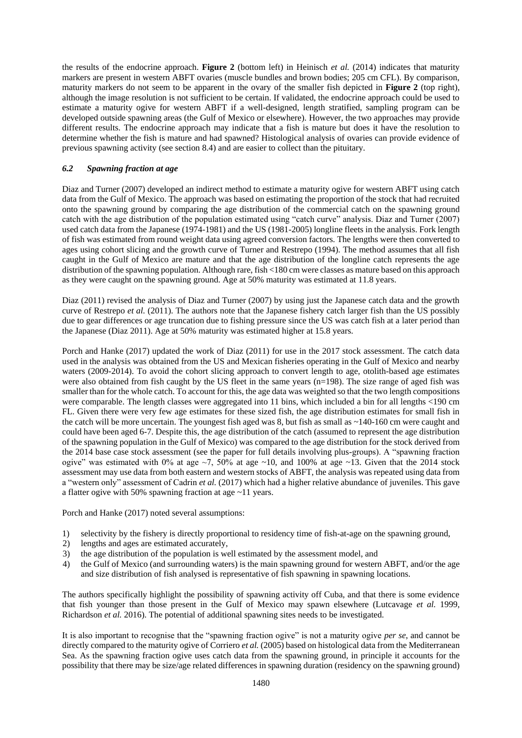the results of the endocrine approach. **Figure 2** (bottom left) in Heinisch *et al.* (2014) indicates that maturity markers are present in western ABFT ovaries (muscle bundles and brown bodies; 205 cm CFL). By comparison, maturity markers do not seem to be apparent in the ovary of the smaller fish depicted in **Figure 2** (top right), although the image resolution is not sufficient to be certain. If validated, the endocrine approach could be used to estimate a maturity ogive for western ABFT if a well-designed, length stratified, sampling program can be developed outside spawning areas (the Gulf of Mexico or elsewhere). However, the two approaches may provide different results. The endocrine approach may indicate that a fish is mature but does it have the resolution to determine whether the fish is mature and had spawned? Histological analysis of ovaries can provide evidence of previous spawning activity (see section 8.4) and are easier to collect than the pituitary.

## *6.2 Spawning fraction at age*

Diaz and Turner (2007) developed an indirect method to estimate a maturity ogive for western ABFT using catch data from the Gulf of Mexico. The approach was based on estimating the proportion of the stock that had recruited onto the spawning ground by comparing the age distribution of the commercial catch on the spawning ground catch with the age distribution of the population estimated using "catch curve" analysis. Diaz and Turner (2007) used catch data from the Japanese (1974-1981) and the US (1981-2005) longline fleets in the analysis. Fork length of fish was estimated from round weight data using agreed conversion factors. The lengths were then converted to ages using cohort slicing and the growth curve of Turner and Restrepo (1994). The method assumes that all fish caught in the Gulf of Mexico are mature and that the age distribution of the longline catch represents the age distribution of the spawning population. Although rare, fish <180 cm were classes as mature based on this approach as they were caught on the spawning ground. Age at 50% maturity was estimated at 11.8 years.

Diaz (2011) revised the analysis of Diaz and Turner (2007) by using just the Japanese catch data and the growth curve of Restrepo *et al.* (2011). The authors note that the Japanese fishery catch larger fish than the US possibly due to gear differences or age truncation due to fishing pressure since the US was catch fish at a later period than the Japanese (Diaz 2011). Age at 50% maturity was estimated higher at 15.8 years.

Porch and Hanke (2017) updated the work of Diaz (2011) for use in the 2017 stock assessment. The catch data used in the analysis was obtained from the US and Mexican fisheries operating in the Gulf of Mexico and nearby waters (2009-2014). To avoid the cohort slicing approach to convert length to age, otolith-based age estimates were also obtained from fish caught by the US fleet in the same years (n=198). The size range of aged fish was smaller than for the whole catch. To account for this, the age data was weighted so that the two length compositions were comparable. The length classes were aggregated into 11 bins, which included a bin for all lengths <190 cm FL. Given there were very few age estimates for these sized fish, the age distribution estimates for small fish in the catch will be more uncertain. The youngest fish aged was  $8$ , but fish as small as  $\sim$ 140-160 cm were caught and could have been aged 6-7. Despite this, the age distribution of the catch (assumed to represent the age distribution of the spawning population in the Gulf of Mexico) was compared to the age distribution for the stock derived from the 2014 base case stock assessment (see the paper for full details involving plus-groups). A "spawning fraction ogive" was estimated with 0% at age  $\sim$ 7, 50% at age  $\sim$ 10, and 100% at age  $\sim$ 13. Given that the 2014 stock assessment may use data from both eastern and western stocks of ABFT, the analysis was repeated using data from a "western only" assessment of Cadrin *et al.* (2017) which had a higher relative abundance of juveniles. This gave a flatter ogive with 50% spawning fraction at age ~11 years.

Porch and Hanke (2017) noted several assumptions:

- 1) selectivity by the fishery is directly proportional to residency time of fish-at-age on the spawning ground,
- 2) lengths and ages are estimated accurately,
- 3) the age distribution of the population is well estimated by the assessment model, and
- 4) the Gulf of Mexico (and surrounding waters) is the main spawning ground for western ABFT, and/or the age and size distribution of fish analysed is representative of fish spawning in spawning locations.

The authors specifically highlight the possibility of spawning activity off Cuba, and that there is some evidence that fish younger than those present in the Gulf of Mexico may spawn elsewhere (Lutcavage *et al.* 1999, Richardson *et al.* 2016). The potential of additional spawning sites needs to be investigated.

It is also important to recognise that the "spawning fraction ogive" is not a maturity ogive *per se*, and cannot be directly compared to the maturity ogive of Corriero *et al.* (2005) based on histological data from the Mediterranean Sea. As the spawning fraction ogive uses catch data from the spawning ground, in principle it accounts for the possibility that there may be size/age related differences in spawning duration (residency on the spawning ground)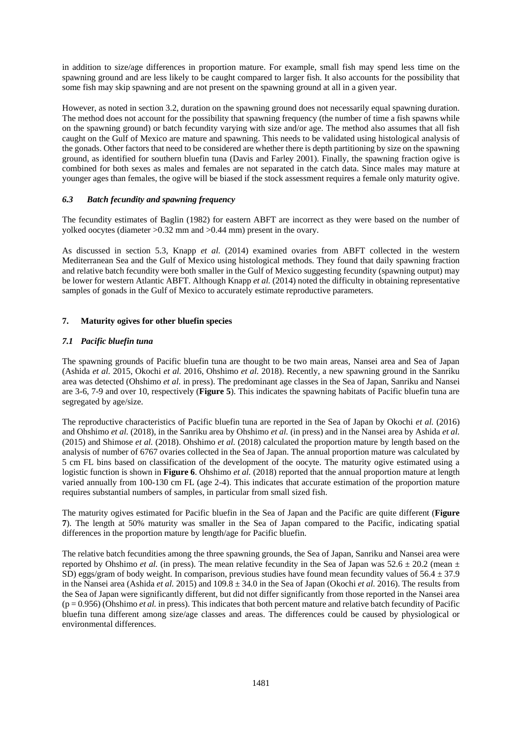in addition to size/age differences in proportion mature. For example, small fish may spend less time on the spawning ground and are less likely to be caught compared to larger fish. It also accounts for the possibility that some fish may skip spawning and are not present on the spawning ground at all in a given year.

However, as noted in section 3.2, duration on the spawning ground does not necessarily equal spawning duration. The method does not account for the possibility that spawning frequency (the number of time a fish spawns while on the spawning ground) or batch fecundity varying with size and/or age. The method also assumes that all fish caught on the Gulf of Mexico are mature and spawning. This needs to be validated using histological analysis of the gonads. Other factors that need to be considered are whether there is depth partitioning by size on the spawning ground, as identified for southern bluefin tuna (Davis and Farley 2001). Finally, the spawning fraction ogive is combined for both sexes as males and females are not separated in the catch data. Since males may mature at younger ages than females, the ogive will be biased if the stock assessment requires a female only maturity ogive.

## *6.3 Batch fecundity and spawning frequency*

The fecundity estimates of Baglin (1982) for eastern ABFT are incorrect as they were based on the number of yolked oocytes (diameter >0.32 mm and >0.44 mm) present in the ovary.

As discussed in section 5.3, Knapp *et al.* (2014) examined ovaries from ABFT collected in the western Mediterranean Sea and the Gulf of Mexico using histological methods. They found that daily spawning fraction and relative batch fecundity were both smaller in the Gulf of Mexico suggesting fecundity (spawning output) may be lower for western Atlantic ABFT. Although Knapp *et al.* (2014) noted the difficulty in obtaining representative samples of gonads in the Gulf of Mexico to accurately estimate reproductive parameters.

## **7. Maturity ogives for other bluefin species**

## *7.1 Pacific bluefin tuna*

The spawning grounds of Pacific bluefin tuna are thought to be two main areas, Nansei area and Sea of Japan (Ashida *et al.* 2015, Okochi *et al.* 2016, Ohshimo *et al.* 2018). Recently, a new spawning ground in the Sanriku area was detected (Ohshimo *et al.* in press). The predominant age classes in the Sea of Japan, Sanriku and Nansei are 3-6, 7-9 and over 10, respectively (**Figure 5**). This indicates the spawning habitats of Pacific bluefin tuna are segregated by age/size.

The reproductive characteristics of Pacific bluefin tuna are reported in the Sea of Japan by Okochi *et al.* (2016) and Ohshimo *et al.* (2018), in the Sanriku area by Ohshimo *et al.* (in press) and in the Nansei area by Ashida *et al.* (2015) and Shimose *et al.* (2018). Ohshimo *et al.* (2018) calculated the proportion mature by length based on the analysis of number of 6767 ovaries collected in the Sea of Japan. The annual proportion mature was calculated by 5 cm FL bins based on classification of the development of the oocyte. The maturity ogive estimated using a logistic function is shown in **Figure 6**. Ohshimo *et al.* (2018) reported that the annual proportion mature at length varied annually from 100-130 cm FL (age 2-4). This indicates that accurate estimation of the proportion mature requires substantial numbers of samples, in particular from small sized fish.

The maturity ogives estimated for Pacific bluefin in the Sea of Japan and the Pacific are quite different (**Figure 7**). The length at 50% maturity was smaller in the Sea of Japan compared to the Pacific, indicating spatial differences in the proportion mature by length/age for Pacific bluefin.

The relative batch fecundities among the three spawning grounds, the Sea of Japan, Sanriku and Nansei area were reported by Ohshimo *et al.* (in press). The mean relative fecundity in the Sea of Japan was 52.6  $\pm$  20.2 (mean  $\pm$ SD) eggs/gram of body weight. In comparison, previous studies have found mean fecundity values of  $56.4 \pm 37.9$ in the Nansei area (Ashida *et al.* 2015) and 109.8 ± 34.0 in the Sea of Japan (Okochi *et al.* 2016). The results from the Sea of Japan were significantly different, but did not differ significantly from those reported in the Nansei area  $(p = 0.956)$  (Ohshimo *et al.* in press). This indicates that both percent mature and relative batch fecundity of Pacific bluefin tuna different among size/age classes and areas. The differences could be caused by physiological or environmental differences.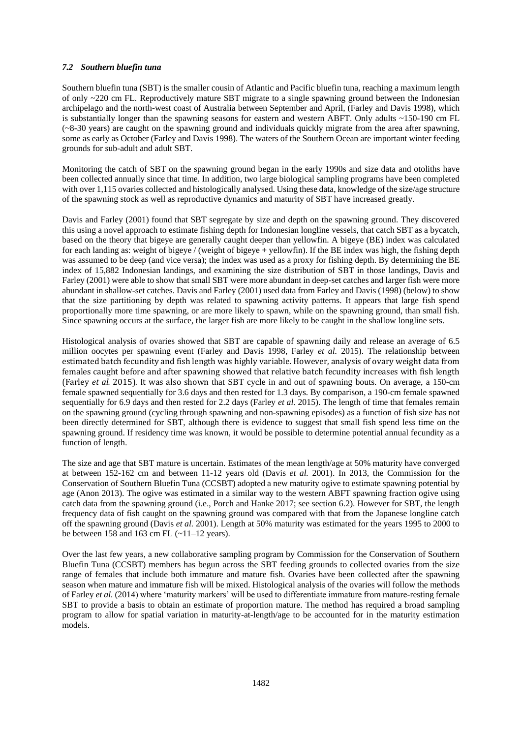## *7.2 Southern bluefin tuna*

Southern bluefin tuna (SBT) is the smaller cousin of Atlantic and Pacific bluefin tuna, reaching a maximum length of only ~220 cm FL. Reproductively mature SBT migrate to a single spawning ground between the Indonesian archipelago and the north-west coast of Australia between September and April, (Farley and Davis 1998), which is substantially longer than the spawning seasons for eastern and western ABFT. Only adults ~150-190 cm FL (~8-30 years) are caught on the spawning ground and individuals quickly migrate from the area after spawning, some as early as October (Farley and Davis 1998). The waters of the Southern Ocean are important winter feeding grounds for sub-adult and adult SBT.

Monitoring the catch of SBT on the spawning ground began in the early 1990s and size data and otoliths have been collected annually since that time. In addition, two large biological sampling programs have been completed with over 1,115 ovaries collected and histologically analysed. Using these data, knowledge of the size/age structure of the spawning stock as well as reproductive dynamics and maturity of SBT have increased greatly.

Davis and Farley (2001) found that SBT segregate by size and depth on the spawning ground. They discovered this using a novel approach to estimate fishing depth for Indonesian longline vessels, that catch SBT as a bycatch, based on the theory that bigeye are generally caught deeper than yellowfin. A bigeye (BE) index was calculated for each landing as: weight of bigeye / (weight of bigeye + yellowfin). If the BE index was high, the fishing depth was assumed to be deep (and vice versa); the index was used as a proxy for fishing depth. By determining the BE index of 15,882 Indonesian landings, and examining the size distribution of SBT in those landings, Davis and Farley (2001) were able to show that small SBT were more abundant in deep-set catches and larger fish were more abundant in shallow-set catches. Davis and Farley (2001) used data from Farley and Davis (1998) (below) to show that the size partitioning by depth was related to spawning activity patterns. It appears that large fish spend proportionally more time spawning, or are more likely to spawn, while on the spawning ground, than small fish. Since spawning occurs at the surface, the larger fish are more likely to be caught in the shallow longline sets.

Histological analysis of ovaries showed that SBT are capable of spawning daily and release an average of 6.5 million oocytes per spawning event (Farley and Davis 1998, Farley *et al.* 2015). The relationship between estimated batch fecundity and fish length was highly variable. However, analysis of ovary weight data from females caught before and after spawning showed that relative batch fecundity increases with fish length (Farley *et al.* 2015). It was also shown that SBT cycle in and out of spawning bouts. On average, a 150-cm female spawned sequentially for 3.6 days and then rested for 1.3 days. By comparison, a 190-cm female spawned sequentially for 6.9 days and then rested for 2.2 days (Farley *et al.* 2015). The length of time that females remain on the spawning ground (cycling through spawning and non-spawning episodes) as a function of fish size has not been directly determined for SBT, although there is evidence to suggest that small fish spend less time on the spawning ground. If residency time was known, it would be possible to determine potential annual fecundity as a function of length.

The size and age that SBT mature is uncertain. Estimates of the mean length/age at 50% maturity have converged at between 152-162 cm and between 11-12 years old (Davis *et al.* 2001). In 2013, the Commission for the Conservation of Southern Bluefin Tuna (CCSBT) adopted a new maturity ogive to estimate spawning potential by age (Anon 2013). The ogive was estimated in a similar way to the western ABFT spawning fraction ogive using catch data from the spawning ground (i.e., Porch and Hanke 2017; see section 6.2). However for SBT, the length frequency data of fish caught on the spawning ground was compared with that from the Japanese longline catch off the spawning ground (Davis *et al.* 2001). Length at 50% maturity was estimated for the years 1995 to 2000 to be between 158 and 163 cm FL  $(-11-12 \text{ years})$ .

Over the last few years, a new collaborative sampling program by Commission for the Conservation of Southern Bluefin Tuna (CCSBT) members has begun across the SBT feeding grounds to collected ovaries from the size range of females that include both immature and mature fish. Ovaries have been collected after the spawning season when mature and immature fish will be mixed. Histological analysis of the ovaries will follow the methods of Farley *et al.* (2014) where 'maturity markers' will be used to differentiate immature from mature-resting female SBT to provide a basis to obtain an estimate of proportion mature. The method has required a broad sampling program to allow for spatial variation in maturity-at-length/age to be accounted for in the maturity estimation models.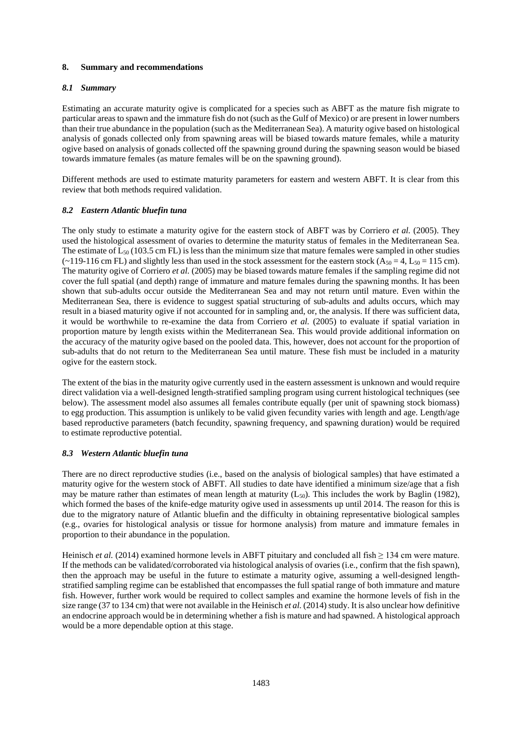## **8. Summary and recommendations**

## *8.1 Summary*

Estimating an accurate maturity ogive is complicated for a species such as ABFT as the mature fish migrate to particular areas to spawn and the immature fish do not (such as the Gulf of Mexico) or are present in lower numbers than their true abundance in the population (such as the Mediterranean Sea). A maturity ogive based on histological analysis of gonads collected only from spawning areas will be biased towards mature females, while a maturity ogive based on analysis of gonads collected off the spawning ground during the spawning season would be biased towards immature females (as mature females will be on the spawning ground).

Different methods are used to estimate maturity parameters for eastern and western ABFT. It is clear from this review that both methods required validation.

### *8.2 Eastern Atlantic bluefin tuna*

The only study to estimate a maturity ogive for the eastern stock of ABFT was by Corriero *et al.* (2005). They used the histological assessment of ovaries to determine the maturity status of females in the Mediterranean Sea. The estimate of  $L_{50}$  (103.5 cm FL) is less than the minimum size that mature females were sampled in other studies  $(-119-116 \text{ cm FL})$  and slightly less than used in the stock assessment for the eastern stock (A<sub>50</sub> = 4, L<sub>50</sub> = 115 cm). The maturity ogive of Corriero *et al.* (2005) may be biased towards mature females if the sampling regime did not cover the full spatial (and depth) range of immature and mature females during the spawning months. It has been shown that sub-adults occur outside the Mediterranean Sea and may not return until mature. Even within the Mediterranean Sea, there is evidence to suggest spatial structuring of sub-adults and adults occurs, which may result in a biased maturity ogive if not accounted for in sampling and, or, the analysis. If there was sufficient data, it would be worthwhile to re-examine the data from Corriero *et al.* (2005) to evaluate if spatial variation in proportion mature by length exists within the Mediterranean Sea. This would provide additional information on the accuracy of the maturity ogive based on the pooled data. This, however, does not account for the proportion of sub-adults that do not return to the Mediterranean Sea until mature. These fish must be included in a maturity ogive for the eastern stock.

The extent of the bias in the maturity ogive currently used in the eastern assessment is unknown and would require direct validation via a well-designed length-stratified sampling program using current histological techniques (see below). The assessment model also assumes all females contribute equally (per unit of spawning stock biomass) to egg production. This assumption is unlikely to be valid given fecundity varies with length and age. Length/age based reproductive parameters (batch fecundity, spawning frequency, and spawning duration) would be required to estimate reproductive potential.

#### *8.3 Western Atlantic bluefin tuna*

There are no direct reproductive studies (i.e., based on the analysis of biological samples) that have estimated a maturity ogive for the western stock of ABFT. All studies to date have identified a minimum size/age that a fish may be mature rather than estimates of mean length at maturity  $(L_{50})$ . This includes the work by Baglin (1982), which formed the bases of the knife-edge maturity ogive used in assessments up until 2014. The reason for this is due to the migratory nature of Atlantic bluefin and the difficulty in obtaining representative biological samples (e.g., ovaries for histological analysis or tissue for hormone analysis) from mature and immature females in proportion to their abundance in the population.

Heinisch *et al.* (2014) examined hormone levels in ABFT pituitary and concluded all fish  $\geq$  134 cm were mature. If the methods can be validated/corroborated via histological analysis of ovaries (i.e., confirm that the fish spawn), then the approach may be useful in the future to estimate a maturity ogive, assuming a well-designed lengthstratified sampling regime can be established that encompasses the full spatial range of both immature and mature fish. However, further work would be required to collect samples and examine the hormone levels of fish in the size range (37 to 134 cm) that were not available in the Heinisch *et al.* (2014) study. It is also unclear how definitive an endocrine approach would be in determining whether a fish is mature and had spawned. A histological approach would be a more dependable option at this stage.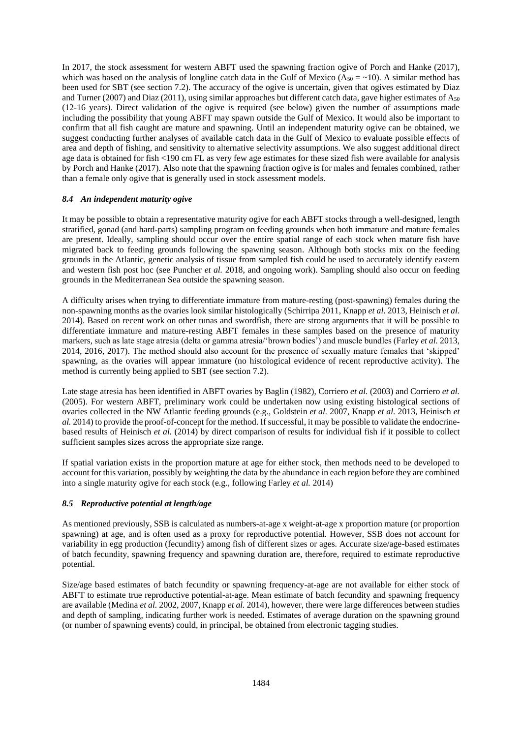In 2017, the stock assessment for western ABFT used the spawning fraction ogive of Porch and Hanke (2017), which was based on the analysis of longline catch data in the Gulf of Mexico ( $A_{50} = \sim 10$ ). A similar method has been used for SBT (see section 7.2). The accuracy of the ogive is uncertain, given that ogives estimated by Diaz and Turner (2007) and Diaz (2011), using similar approaches but different catch data, gave higher estimates of A<sub>50</sub> (12-16 years). Direct validation of the ogive is required (see below) given the number of assumptions made including the possibility that young ABFT may spawn outside the Gulf of Mexico. It would also be important to confirm that all fish caught are mature and spawning. Until an independent maturity ogive can be obtained, we suggest conducting further analyses of available catch data in the Gulf of Mexico to evaluate possible effects of area and depth of fishing, and sensitivity to alternative selectivity assumptions. We also suggest additional direct age data is obtained for fish <190 cm FL as very few age estimates for these sized fish were available for analysis by Porch and Hanke (2017). Also note that the spawning fraction ogive is for males and females combined, rather than a female only ogive that is generally used in stock assessment models.

## *8.4 An independent maturity ogive*

It may be possible to obtain a representative maturity ogive for each ABFT stocks through a well-designed, length stratified, gonad (and hard-parts) sampling program on feeding grounds when both immature and mature females are present. Ideally, sampling should occur over the entire spatial range of each stock when mature fish have migrated back to feeding grounds following the spawning season. Although both stocks mix on the feeding grounds in the Atlantic, genetic analysis of tissue from sampled fish could be used to accurately identify eastern and western fish post hoc (see Puncher *et al.* 2018, and ongoing work). Sampling should also occur on feeding grounds in the Mediterranean Sea outside the spawning season.

A difficulty arises when trying to differentiate immature from mature-resting (post-spawning) females during the non-spawning months as the ovaries look similar histologically (Schirripa 2011, Knapp *et al.* 2013, Heinisch *et al.* 2014). Based on recent work on other tunas and swordfish, there are strong arguments that it will be possible to differentiate immature and mature-resting ABFT females in these samples based on the presence of maturity markers, such as late stage atresia (delta or gamma atresia/'brown bodies') and muscle bundles (Farley *et al.* 2013, 2014, 2016, 2017). The method should also account for the presence of sexually mature females that 'skipped' spawning, as the ovaries will appear immature (no histological evidence of recent reproductive activity). The method is currently being applied to SBT (see section 7.2).

Late stage atresia has been identified in ABFT ovaries by Baglin (1982), Corriero *et al.* (2003) and Corriero *et al.* (2005). For western ABFT, preliminary work could be undertaken now using existing histological sections of ovaries collected in the NW Atlantic feeding grounds (e.g., Goldstein *et al.* 2007, Knapp *et al.* 2013, Heinisch *et al.* 2014) to provide the proof-of-concept for the method. If successful, it may be possible to validate the endocrinebased results of Heinisch *et al.* (2014) by direct comparison of results for individual fish if it possible to collect sufficient samples sizes across the appropriate size range.

If spatial variation exists in the proportion mature at age for either stock, then methods need to be developed to account for this variation, possibly by weighting the data by the abundance in each region before they are combined into a single maturity ogive for each stock (e.g., following Farley *et al.* 2014)

## *8.5 Reproductive potential at length/age*

As mentioned previously, SSB is calculated as numbers-at-age x weight-at-age x proportion mature (or proportion spawning) at age, and is often used as a proxy for reproductive potential. However, SSB does not account for variability in egg production (fecundity) among fish of different sizes or ages. Accurate size/age-based estimates of batch fecundity, spawning frequency and spawning duration are, therefore, required to estimate reproductive potential.

Size/age based estimates of batch fecundity or spawning frequency-at-age are not available for either stock of ABFT to estimate true reproductive potential-at-age. Mean estimate of batch fecundity and spawning frequency are available (Medina *et al.* 2002, 2007, Knapp *et al.* 2014), however, there were large differences between studies and depth of sampling, indicating further work is needed. Estimates of average duration on the spawning ground (or number of spawning events) could, in principal, be obtained from electronic tagging studies.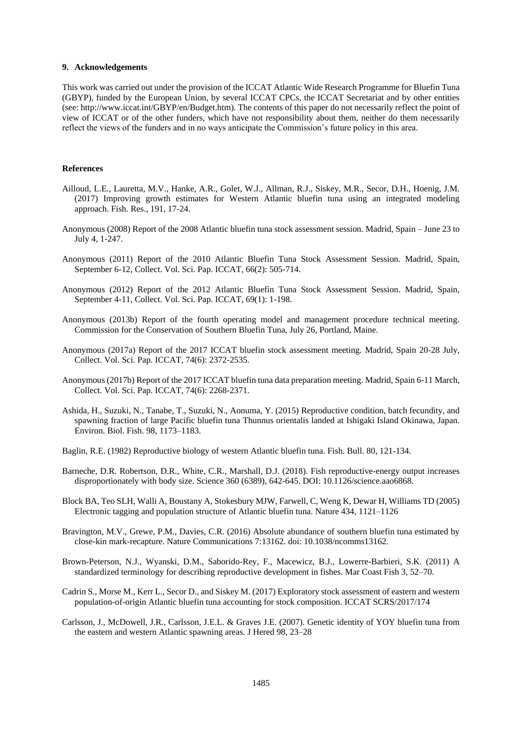#### **9. Acknowledgements**

This work was carried out under the provision of the ICCAT Atlantic Wide Research Programme for Bluefin Tuna (GBYP), funded by the European Union, by several ICCAT CPCs, the ICCAT Secretariat and by other entities (see: http://www.iccat.int/GBYP/en/Budget.htm). The contents of this paper do not necessarily reflect the point of view of ICCAT or of the other funders, which have not responsibility about them, neither do them necessarily reflect the views of the funders and in no ways anticipate the Commission's future policy in this area.

#### **References**

- Ailloud, L.E., Lauretta, M.V., Hanke, A.R., Golet, W.J., Allman, R.J., Siskey, M.R., Secor, D.H., Hoenig, J.M. (2017) Improving growth estimates for Western Atlantic bluefin tuna using an integrated modeling approach. Fish. Res., 191, 17-24.
- Anonymous (2008) Report of the 2008 Atlantic bluefin tuna stock assessment session. Madrid, Spain June 23 to July 4, 1-247.
- Anonymous (2011) Report of the 2010 Atlantic Bluefin Tuna Stock Assessment Session. Madrid, Spain, September 6-12, Collect. Vol. Sci. Pap. ICCAT, 66(2): 505-714.
- Anonymous (2012) Report of the 2012 Atlantic Bluefin Tuna Stock Assessment Session. Madrid, Spain, September 4-11, Collect. Vol. Sci. Pap. ICCAT, 69(1): 1-198.
- Anonymous (2013b) Report of the fourth operating model and management procedure technical meeting. Commission for the Conservation of Southern Bluefin Tuna, July 26, Portland, Maine.
- Anonymous (2017a) Report of the 2017 ICCAT bluefin stock assessment meeting. Madrid, Spain 20-28 July, Collect. Vol. Sci. Pap. ICCAT, 74(6): 2372-2535.
- Anonymous (2017b) Report of the 2017 ICCAT bluefin tuna data preparation meeting. Madrid, Spain 6-11 March, Collect. Vol. Sci. Pap. ICCAT, 74(6): 2268-2371.
- Ashida, H., Suzuki, N., Tanabe, T., Suzuki, N., Aonuma, Y. (2015) Reproductive condition, batch fecundity, and spawning fraction of large Pacific bluefin tuna Thunnus orientalis landed at Ishigaki Island Okinawa, Japan. Environ. Biol. Fish. 98, 1173–1183.
- Baglin, R.E. (1982) Reproductive biology of western Atlantic bluefin tuna. Fish. Bull. 80, 121-134.
- Barneche, D.R. Robertson, D.R., White, C.R., Marshall, D.J. (2018). Fish reproductive-energy output increases disproportionately with body size. Science 360 (6389), 642-645. DOI: 10.1126/science.aao6868.
- Block BA, Teo SLH, Walli A, Boustany A, Stokesbury MJW, Farwell, C, Weng K, Dewar H, Williams TD (2005) Electronic tagging and population structure of Atlantic bluefin tuna. Nature 434, 1121–1126
- Bravington, M.V., Grewe, P.M., Davies, C.R. (2016) Absolute abundance of southern bluefin tuna estimated by close-kin mark-recapture. Nature Communications 7:13162. doi: 10.1038/ncomms13162.
- Brown-Peterson, N.J., Wyanski, D.M., Saborido-Rey, F., Macewicz, B.J., Lowerre-Barbieri, S.K. (2011) A standardized terminology for describing reproductive development in fishes. Mar Coast Fish 3, 52–70.
- Cadrin S., Morse M., Kerr L., Secor D., and Siskey M. (2017) Exploratory stock assessment of eastern and western population-of-origin Atlantic bluefin tuna accounting for stock composition. ICCAT SCRS/2017/174
- Carlsson, J., McDowell, J.R., Carlsson, J.E.L. & Graves J.E. (2007). Genetic identity of YOY bluefin tuna from the eastern and western Atlantic spawning areas. J Hered 98, 23–28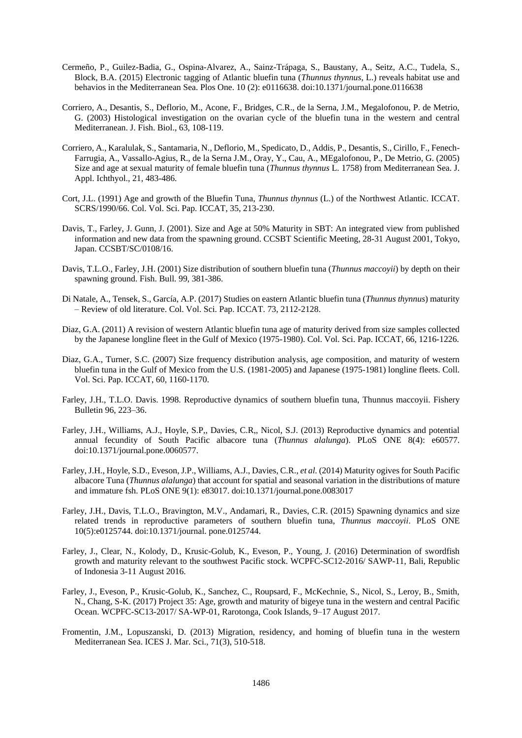- Cermeño, P., Guilez-Badia, G., Ospina-Alvarez, A., Sainz-Trápaga, S., Baustany, A., Seitz, A.C., Tudela, S., Block, B.A. (2015) Electronic tagging of Atlantic bluefin tuna (*Thunnus thynnus*, L.) reveals habitat use and behavios in the Mediterranean Sea. Plos One. 10 (2): e0116638. doi:10.1371/journal.pone.0116638
- Corriero, A., Desantis, S., Deflorio, M., Acone, F., Bridges, C.R., de la Serna, J.M., Megalofonou, P. de Metrio, G. (2003) Histological investigation on the ovarian cycle of the bluefin tuna in the western and central Mediterranean. J. Fish. Biol., 63, 108-119.
- Corriero, A., Karalulak, S., Santamaria, N., Deflorio, M., Spedicato, D., Addis, P., Desantis, S., Cirillo, F., Fenech-Farrugia, A., Vassallo-Agius, R., de la Serna J.M., Oray, Y., Cau, A., MEgalofonou, P., De Metrio, G. (2005) Size and age at sexual maturity of female bluefin tuna (*Thunnus thynnus* L. 1758) from Mediterranean Sea. J. Appl. Ichthyol., 21, 483-486.
- Cort, J.L. (1991) Age and growth of the Bluefin Tuna, *Thunnus thynnus* (L.) of the Northwest Atlantic. ICCAT. SCRS/1990/66. Col. Vol. Sci. Pap. ICCAT, 35, 213-230.
- Davis, T., Farley, J. Gunn, J. (2001). Size and Age at 50% Maturity in SBT: An integrated view from published information and new data from the spawning ground. CCSBT Scientific Meeting, 28-31 August 2001, Tokyo, Japan. CCSBT/SC/0108/16.
- Davis, T.L.O., Farley, J.H. (2001) Size distribution of southern bluefin tuna (*Thunnus maccoyii*) by depth on their spawning ground. Fish. Bull. 99, 381-386.
- Di Natale, A., Tensek, S., García, A.P. (2017) Studies on eastern Atlantic bluefin tuna (*Thunnus thynnus*) maturity – Review of old literature. Col. Vol. Sci. Pap. ICCAT. 73, 2112-2128.
- Diaz, G.A. (2011) A revision of western Atlantic bluefin tuna age of maturity derived from size samples collected by the Japanese longline fleet in the Gulf of Mexico (1975-1980). Col. Vol. Sci. Pap. ICCAT, 66, 1216-1226.
- Diaz, G.A., Turner, S.C. (2007) Size frequency distribution analysis, age composition, and maturity of western bluefin tuna in the Gulf of Mexico from the U.S. (1981-2005) and Japanese (1975-1981) longline fleets. Coll. Vol. Sci. Pap. ICCAT, 60, 1160-1170.
- Farley, J.H., T.L.O. Davis. 1998. Reproductive dynamics of southern bluefin tuna, Thunnus maccoyii. Fishery Bulletin 96, 223–36.
- Farley, J.H., Williams, A.J., Hoyle, S.P,, Davies, C.R,, Nicol, S.J. (2013) Reproductive dynamics and potential annual fecundity of South Pacific albacore tuna (*Thunnus alalunga*). PLoS ONE 8(4): e60577. doi:10.1371/journal.pone.0060577.
- Farley, J.H., Hoyle, S.D., Eveson, J.P., Williams, A.J., Davies, C.R., *et al.* (2014) Maturity ogives for South Pacific albacore Tuna (*Thunnus alalunga*) that account for spatial and seasonal variation in the distributions of mature and immature fsh. PLoS ONE 9(1): e83017. doi:10.1371/journal.pone.0083017
- Farley, J.H., Davis, T.L.O., Bravington, M.V., Andamari, R., Davies, C.R. (2015) Spawning dynamics and size related trends in reproductive parameters of southern bluefin tuna, *Thunnus maccoyii*. PLoS ONE 10(5):e0125744. doi:10.1371/journal. pone.0125744.
- Farley, J., Clear, N., Kolody, D., Krusic-Golub, K., Eveson, P., Young, J. (2016) Determination of swordfish growth and maturity relevant to the southwest Pacific stock. WCPFC-SC12-2016/ SAWP-11, Bali, Republic of Indonesia 3-11 August 2016.
- Farley, J., Eveson, P., Krusic-Golub, K., Sanchez, C., Roupsard, F., McKechnie, S., Nicol, S., Leroy, B., Smith, N., Chang, S-K. (2017) Project 35: Age, growth and maturity of bigeye tuna in the western and central Pacific Ocean. WCPFC-SC13-2017/ SA-WP-01, Rarotonga, Cook Islands, 9–17 August 2017.
- Fromentin, J.M., Lopuszanski, D. (2013) Migration, residency, and homing of bluefin tuna in the western Mediterranean Sea. ICES J. Mar. Sci., 71(3), 510-518.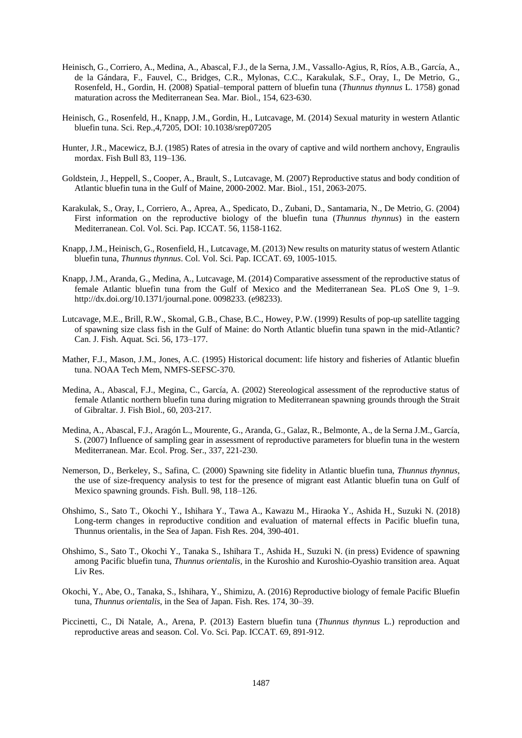- Heinisch, G., Corriero, A., Medina, A., Abascal, F.J., de la Serna, J.M., Vassallo-Agius, R, Ríos, A.B., García, A., de la Gándara, F., Fauvel, C., Bridges, C.R., Mylonas, C.C., Karakulak, S.F., Oray, I., De Metrio, G., Rosenfeld, H., Gordin, H. (2008) Spatial–temporal pattern of bluefin tuna (*Thunnus thynnus* L. 1758) gonad maturation across the Mediterranean Sea. Mar. Biol., 154, 623-630.
- Heinisch, G., Rosenfeld, H., Knapp, J.M., Gordin, H., Lutcavage, M. (2014) Sexual maturity in western Atlantic bluefin tuna. Sci. Rep.,4,7205, DOI: 10.1038/srep07205
- Hunter, J.R., Macewicz, B.J. (1985) Rates of atresia in the ovary of captive and wild northern anchovy, Engraulis mordax. Fish Bull 83, 119–136.
- Goldstein, J., Heppell, S., Cooper, A., Brault, S., Lutcavage, M. (2007) Reproductive status and body condition of Atlantic bluefin tuna in the Gulf of Maine, 2000-2002. Mar. Biol., 151, 2063-2075.
- Karakulak, S., Oray, I., Corriero, A., Aprea, A., Spedicato, D., Zubani, D., Santamaria, N., De Metrio, G. (2004) First information on the reproductive biology of the bluefin tuna (*Thunnus thynnus*) in the eastern Mediterranean. Col. Vol. Sci. Pap. ICCAT. 56, 1158-1162.
- Knapp, J.M., Heinisch, G., Rosenfield, H., Lutcavage, M. (2013) New results on maturity status of western Atlantic bluefin tuna, *Thunnus thynnus*. Col. Vol. Sci. Pap. ICCAT. 69, 1005-1015.
- Knapp, J.M., Aranda, G., Medina, A., Lutcavage, M. (2014) Comparative assessment of the reproductive status of female Atlantic bluefin tuna from the Gulf of Mexico and the Mediterranean Sea. PLoS One 9, 1–9. http://dx.doi.org/10.1371/journal.pone. 0098233. (e98233).
- Lutcavage, M.E., Brill, R.W., Skomal, G.B., Chase, B.C., Howey, P.W. (1999) Results of pop-up satellite tagging of spawning size class fish in the Gulf of Maine: do North Atlantic bluefin tuna spawn in the mid-Atlantic? Can. J. Fish. Aquat. Sci. 56, 173–177.
- Mather, F.J., Mason, J.M., Jones, A.C. (1995) Historical document: life history and fisheries of Atlantic bluefin tuna. NOAA Tech Mem, NMFS-SEFSC-370.
- Medina, A., Abascal, F.J., Megina, C., García, A. (2002) Stereological assessment of the reproductive status of female Atlantic northern bluefin tuna during migration to Mediterranean spawning grounds through the Strait of Gibraltar. J. Fish Biol., 60, 203-217.
- Medina, A., Abascal, F.J., Aragón L., Mourente, G., Aranda, G., Galaz, R., Belmonte, A., de la Serna J.M., García, S. (2007) Influence of sampling gear in assessment of reproductive parameters for bluefin tuna in the western Mediterranean. Mar. Ecol. Prog. Ser., 337, 221-230.
- Nemerson, D., Berkeley, S., Safina, C. (2000) Spawning site fidelity in Atlantic bluefin tuna, *Thunnus thynnus*, the use of size-frequency analysis to test for the presence of migrant east Atlantic bluefin tuna on Gulf of Mexico spawning grounds. Fish. Bull. 98, 118–126.
- Ohshimo, S., Sato T., Okochi Y., Ishihara Y., Tawa A., Kawazu M., Hiraoka Y., Ashida H., Suzuki N. (2018) Long-term changes in reproductive condition and evaluation of maternal effects in Pacific bluefin tuna, Thunnus orientalis, in the Sea of Japan. Fish Res. 204, 390-401.
- Ohshimo, S., Sato T., Okochi Y., Tanaka S., Ishihara T., Ashida H., Suzuki N. (in press) Evidence of spawning among Pacific bluefin tuna, *Thunnus orientalis,* in the Kuroshio and Kuroshio-Oyashio transition area. Aquat Liv Res.
- Okochi, Y., Abe, O., Tanaka, S., Ishihara, Y., Shimizu, A. (2016) Reproductive biology of female Pacific Bluefin tuna, *Thunnus orientalis*, in the Sea of Japan. Fish. Res. 174, 30–39.
- Piccinetti, C., Di Natale, A., Arena, P. (2013) Eastern bluefin tuna (*Thunnus thynnus* L.) reproduction and reproductive areas and season. Col. Vo. Sci. Pap. ICCAT. 69, 891-912.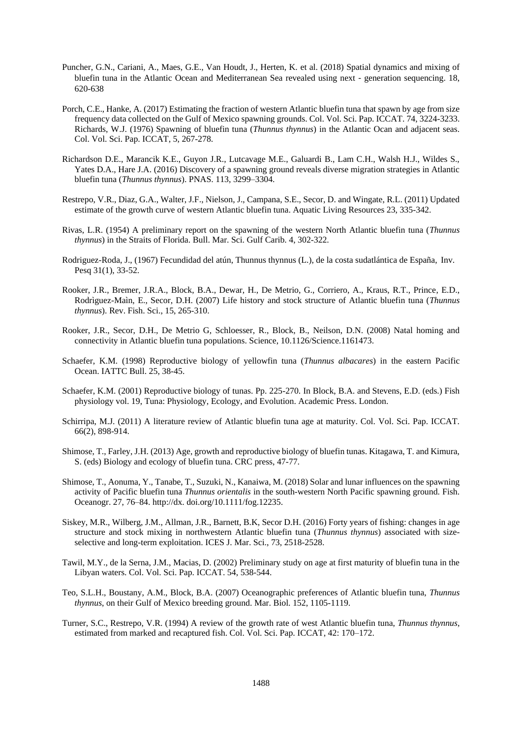- Puncher, G.N., Cariani, A., Maes, G.E., Van Houdt, J., Herten, K. et al. (2018) Spatial dynamics and mixing of bluefin tuna in the Atlantic Ocean and Mediterranean Sea revealed using next‐generation sequencing. 18, 620-638
- Porch, C.E., Hanke, A. (2017) Estimating the fraction of western Atlantic bluefin tuna that spawn by age from size frequency data collected on the Gulf of Mexico spawning grounds. Col. Vol. Sci. Pap. ICCAT. 74, 3224-3233. Richards, W.J. (1976) Spawning of bluefin tuna (*Thunnus thynnus*) in the Atlantic Ocan and adjacent seas. Col. Vol. Sci. Pap. ICCAT, 5, 267-278.
- Richardson D.E., Marancik K.E., Guyon J.R., Lutcavage M.E., Galuardi B., Lam C.H., Walsh H.J., Wildes S., Yates D.A., Hare J.A. (2016) Discovery of a spawning ground reveals diverse migration strategies in Atlantic bluefin tuna (*Thunnus thynnus*). PNAS. 113, 3299–3304.
- Restrepo, V.R., Diaz, G.A., Walter, J.F., Nielson, J., Campana, S.E., Secor, D. and Wingate, R.L. (2011) Updated estimate of the growth curve of western Atlantic bluefin tuna. Aquatic Living Resources 23, 335-342.
- Rivas, L.R. (1954) A preliminary report on the spawning of the western North Atlantic bluefin tuna (*Thunnus thynnus*) in the Straits of Florida. Bull. Mar. Sci. Gulf Carib. 4, 302-322.
- Rodriguez-Roda, J., (1967) Fecundidad del atún, Thunnus thynnus (L.), de la costa sudatlántica de España, Inv. Pesq 31(1), 33-52.
- Rooker, J.R., Bremer, J.R.A., Block, B.A., Dewar, H., De Metrio, G., Corriero, A., Kraus, R.T., Prince, E.D., Rodrìguez-Maìn, E., Secor, D.H. (2007) Life history and stock structure of Atlantic bluefin tuna (*Thunnus thynnus*). Rev. Fish. Sci., 15, 265-310.
- Rooker, J.R., Secor, D.H., De Metrio G, Schloesser, R., Block, B., Neilson, D.N. (2008) Natal homing and connectivity in Atlantic bluefin tuna populations. Science, 10.1126/Science.1161473.
- Schaefer, K.M. (1998) Reproductive biology of yellowfin tuna (*Thunnus albacares*) in the eastern Pacific Ocean. IATTC Bull. 25, 38-45.
- Schaefer, K.M. (2001) Reproductive biology of tunas. Pp. 225-270. In Block, B.A. and Stevens, E.D. (eds.) Fish physiology vol. 19, Tuna: Physiology, Ecology, and Evolution. Academic Press. London.
- Schirripa, M.J. (2011) A literature review of Atlantic bluefin tuna age at maturity. Col. Vol. Sci. Pap. ICCAT. 66(2), 898-914.
- Shimose, T., Farley, J.H. (2013) Age, growth and reproductive biology of bluefin tunas. Kitagawa, T. and Kimura, S. (eds) Biology and ecology of bluefin tuna. CRC press, 47-77.
- Shimose, T., Aonuma, Y., Tanabe, T., Suzuki, N., Kanaiwa, M. (2018) Solar and lunar influences on the spawning activity of Pacific bluefin tuna *Thunnus orientalis* in the south-western North Pacific spawning ground. Fish. Oceanogr. 27, 76–84. http://dx. doi.org/10.1111/fog.12235.
- Siskey, M.R., Wilberg, J.M., Allman, J.R., Barnett, B.K, Secor D.H. (2016) Forty years of fishing: changes in age structure and stock mixing in northwestern Atlantic bluefin tuna (*Thunnus thynnus*) associated with sizeselective and long-term exploitation. ICES J. Mar. Sci., 73, 2518-2528.
- Tawil, M.Y., de la Serna, J.M., Macias, D. (2002) Preliminary study on age at first maturity of bluefin tuna in the Libyan waters. Col. Vol. Sci. Pap. ICCAT. 54, 538-544.
- Teo, S.L.H., Boustany, A.M., Block, B.A. (2007) Oceanographic preferences of Atlantic bluefin tuna, *Thunnus thynnus*, on their Gulf of Mexico breeding ground. Mar. Biol. 152, 1105-1119.
- Turner, S.C., Restrepo, V.R. (1994) A review of the growth rate of west Atlantic bluefin tuna, *Thunnus thynnus*, estimated from marked and recaptured fish. Col. Vol. Sci. Pap. ICCAT, 42: 170–172.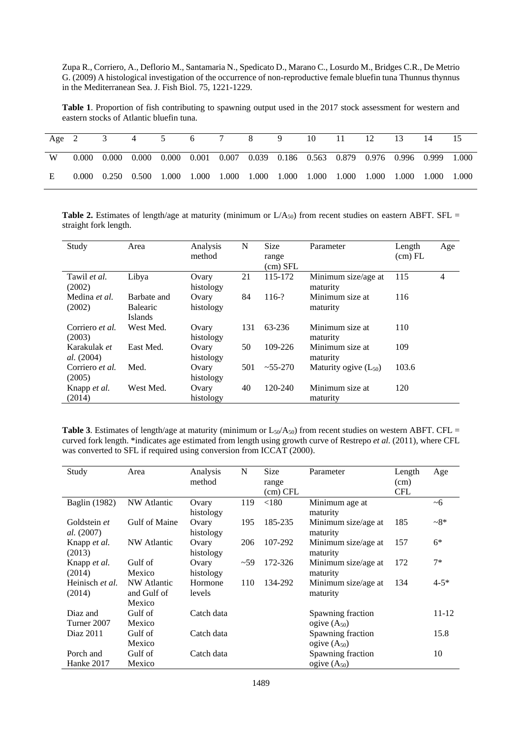Zupa R., Corriero, A., Deflorio M., Santamaria N., Spedicato D., Marano C., Losurdo M., Bridges C.R., De Metrio G. (2009) A histological investigation of the occurrence of non-reproductive female bluefin tuna Thunnus thynnus in the Mediterranean Sea. J. Fish Biol. 75, 1221-1229.

**Table 1**. Proportion of fish contributing to spawning output used in the 2017 stock assessment for western and eastern stocks of Atlantic bluefin tuna.

| Age $2$ |  | 4 | 5 6 7 8                                                                                                         |  | 9 | 10 11 | - 12 | 13 |  |
|---------|--|---|-----------------------------------------------------------------------------------------------------------------|--|---|-------|------|----|--|
| W       |  |   | $0.000$ $0.000$ $0.000$ $0.000$ $0.001$ $0.007$ $0.039$ $0.186$ $0.563$ $0.879$ $0.976$ $0.996$ $0.999$ $1.000$ |  |   |       |      |    |  |
| E       |  |   | $0.000$ $0.250$ $0.500$ $1.000$ $1.000$ $1.000$ $1.000$ $1.000$ $1.000$ $1.000$ $1.000$ $1.000$ $1.000$ $1.000$ |  |   |       |      |    |  |

**Table 2.** Estimates of length/age at maturity (minimum or  $L/A_{50}$ ) from recent studies on eastern ABFT. SFL = straight fork length.

| Study                      | Area                                             | Analysis<br>method | N   | <b>Size</b><br>range<br>(cm) SFL | Parameter                       | Length<br>(cm) FL | Age |
|----------------------------|--------------------------------------------------|--------------------|-----|----------------------------------|---------------------------------|-------------------|-----|
| Tawil et al.<br>(2002)     | Libya                                            | Ovary<br>histology | 21  | 115-172                          | Minimum size/age at<br>maturity | 115               | 4   |
| Medina et al.<br>(2002)    | Barbate and<br><b>Balearic</b><br><b>Islands</b> | Ovary<br>histology | 84  | $116-?$                          | Minimum size at<br>maturity     | 116               |     |
| Corriero et al.<br>(2003)  | West Med.                                        | Ovary<br>histology | 131 | 63-236                           | Minimum size at<br>maturity     | 110               |     |
| Karakulak et<br>al. (2004) | East Med.                                        | Ovary<br>histology | 50  | 109-226                          | Minimum size at<br>maturity     | 109               |     |
| Corriero et al.<br>(2005)  | Med.                                             | Ovary<br>histology | 501 | $~1.55 - 270$                    | Maturity ogive $(L_{50})$       | 103.6             |     |
| Knapp et al.<br>(2014)     | West Med.                                        | Ovary<br>histology | 40  | 120-240                          | Minimum size at<br>maturity     | 120               |     |

**Table 3**. Estimates of length/age at maturity (minimum or  $L_{50}/A_{50}$ ) from recent studies on western ABFT. CFL = curved fork length. \*indicates age estimated from length using growth curve of Restrepo *et al.* (2011), where CFL was converted to SFL if required using conversion from ICCAT (2000).

| Study             | Area          | Analysis<br>N |     | Size     | Parameter           | Length     | Age       |
|-------------------|---------------|---------------|-----|----------|---------------------|------------|-----------|
|                   |               | method        |     | range    |                     | (cm)       |           |
|                   |               |               |     | (cm) CFL |                     | <b>CFL</b> |           |
| Baglin (1982)     | NW Atlantic   | Ovary         | 119 | $<$ 180  | Minimum age at      |            | ~1        |
|                   |               | histology     |     |          | maturity            |            |           |
| Goldstein et      | Gulf of Maine | Ovary         | 195 | 185-235  | Minimum size/age at | 185        | $-8*$     |
| <i>al.</i> (2007) |               | histology     |     |          | maturity            |            |           |
| Knapp et al.      | NW Atlantic   | Ovary         | 206 | 107-292  | Minimum size/age at | 157        | $6*$      |
| (2013)            |               | histology     |     |          | maturity            |            |           |
| Knapp et al.      | Gulf of       | Ovary         | ~59 | 172-326  | Minimum size/age at | 172        | $7*$      |
| (2014)            | Mexico        | histology     |     |          | maturity            |            |           |
| Heinisch et al.   | NW Atlantic   | Hormone       | 110 | 134-292  | Minimum size/age at | 134        | $4 - 5*$  |
| (2014)            | and Gulf of   | levels        |     |          | maturity            |            |           |
|                   | Mexico        |               |     |          |                     |            |           |
| Diaz and          | Gulf of       | Catch data    |     |          | Spawning fraction   |            | $11 - 12$ |
| Turner 2007       | Mexico        |               |     |          | ogive $(A_{50})$    |            |           |
| Diaz 2011         | Gulf of       | Catch data    |     |          | Spawning fraction   |            | 15.8      |
|                   | Mexico        |               |     |          | ogive $(A_{50})$    |            |           |
| Porch and         | Gulf of       | Catch data    |     |          | Spawning fraction   |            | 10        |
| Hanke 2017        | Mexico        |               |     |          | ogive $(A_{50})$    |            |           |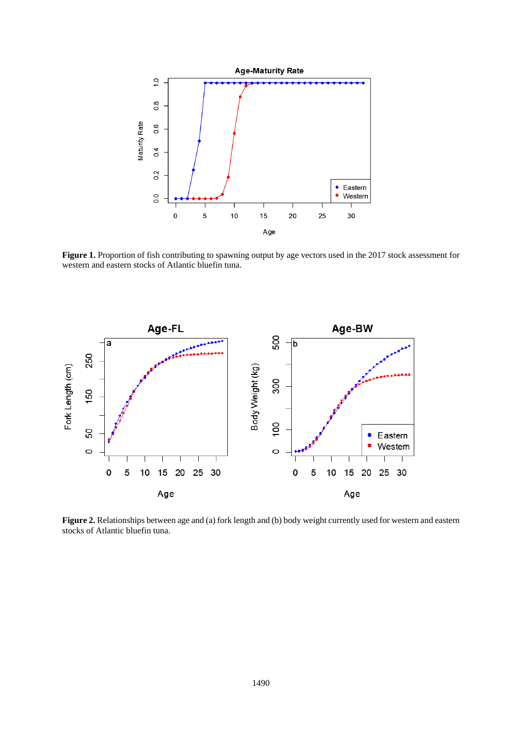

**Figure 1.** Proportion of fish contributing to spawning output by age vectors used in the 2017 stock assessment for western and eastern stocks of Atlantic bluefin tuna.



**Figure 2.** Relationships between age and (a) fork length and (b) body weight currently used for western and eastern stocks of Atlantic bluefin tuna.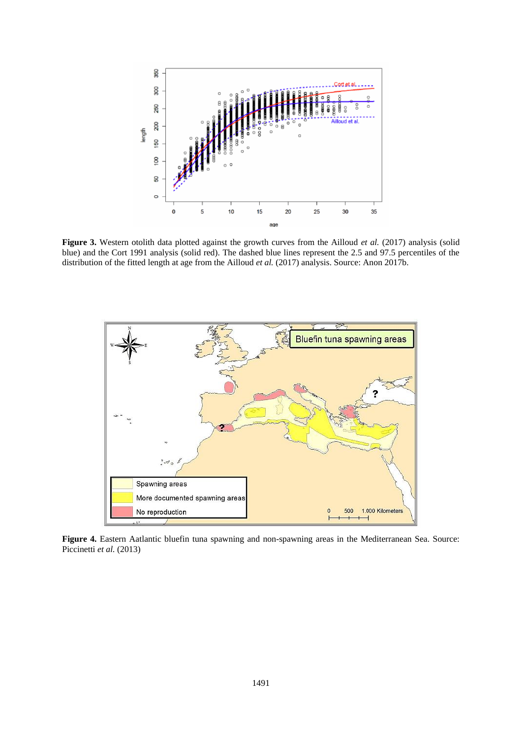

**Figure 3.** Western otolith data plotted against the growth curves from the Ailloud *et al.* (2017) analysis (solid blue) and the Cort 1991 analysis (solid red). The dashed blue lines represent the 2.5 and 97.5 percentiles of the distribution of the fitted length at age from the Ailloud *et al.* (2017) analysis. Source: Anon 2017b.



**Figure 4.** Eastern Aatlantic bluefin tuna spawning and non-spawning areas in the Mediterranean Sea. Source: Piccinetti *et al.* (2013)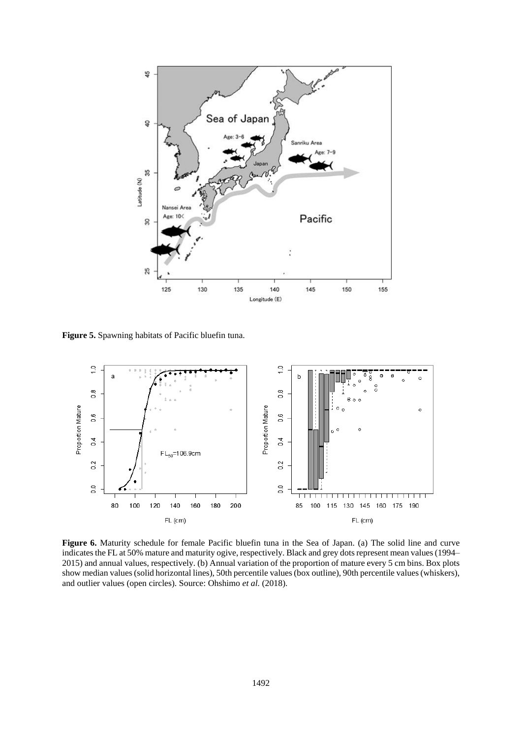

**Figure 5.** Spawning habitats of Pacific bluefin tuna.



**Figure 6.** Maturity schedule for female Pacific bluefin tuna in the Sea of Japan. (a) The solid line and curve indicates the FL at 50% mature and maturity ogive, respectively. Black and grey dots represent mean values(1994– 2015) and annual values, respectively. (b) Annual variation of the proportion of mature every 5 cm bins. Box plots show median values (solid horizontal lines), 50th percentile values (box outline), 90th percentile values (whiskers), and outlier values (open circles). Source: Ohshimo *et al.* (2018).